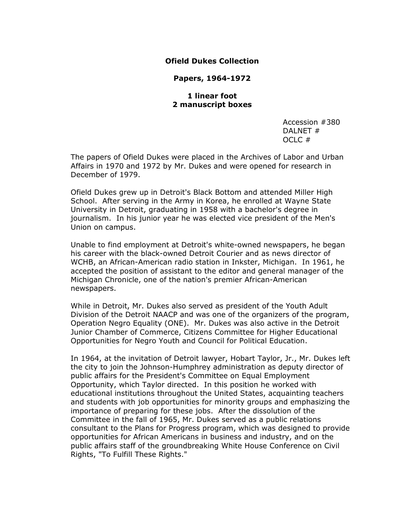## **Ofield Dukes Collection**

**Papers, 1964-1972**

**1 linear foot 2 manuscript boxes**

> Accession #380 DALNET # OCLC #

The papers of Ofield Dukes were placed in the Archives of Labor and Urban Affairs in 1970 and 1972 by Mr. Dukes and were opened for research in December of 1979.

Ofield Dukes grew up in Detroit's Black Bottom and attended Miller High School. After serving in the Army in Korea, he enrolled at Wayne State University in Detroit, graduating in 1958 with a bachelor's degree in journalism. In his junior year he was elected vice president of the Men's Union on campus.

Unable to find employment at Detroit's white-owned newspapers, he began his career with the black-owned Detroit Courier and as news director of WCHB, an African-American radio station in Inkster, Michigan. In 1961, he accepted the position of assistant to the editor and general manager of the Michigan Chronicle, one of the nation's premier African-American newspapers.

While in Detroit, Mr. Dukes also served as president of the Youth Adult Division of the Detroit NAACP and was one of the organizers of the program, Operation Negro Equality (ONE). Mr. Dukes was also active in the Detroit Junior Chamber of Commerce, Citizens Committee for Higher Educational Opportunities for Negro Youth and Council for Political Education.

In 1964, at the invitation of Detroit lawyer, Hobart Taylor, Jr., Mr. Dukes left the city to join the Johnson-Humphrey administration as deputy director of public affairs for the President's Committee on Equal Employment Opportunity, which Taylor directed. In this position he worked with educational institutions throughout the United States, acquainting teachers and students with job opportunities for minority groups and emphasizing the importance of preparing for these jobs. After the dissolution of the Committee in the fall of 1965, Mr. Dukes served as a public relations consultant to the Plans for Progress program, which was designed to provide opportunities for African Americans in business and industry, and on the public affairs staff of the groundbreaking White House Conference on Civil Rights, "To Fulfill These Rights."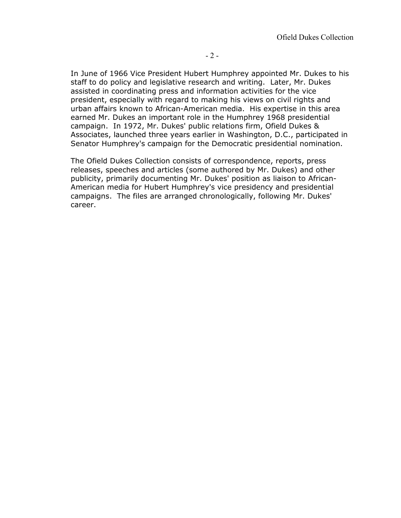In June of 1966 Vice President Hubert Humphrey appointed Mr. Dukes to his staff to do policy and legislative research and writing. Later, Mr. Dukes assisted in coordinating press and information activities for the vice president, especially with regard to making his views on civil rights and urban affairs known to African-American media. His expertise in this area earned Mr. Dukes an important role in the Humphrey 1968 presidential campaign. In 1972, Mr. Dukes' public relations firm, Ofield Dukes & Associates, launched three years earlier in Washington, D.C., participated in Senator Humphrey's campaign for the Democratic presidential nomination.

The Ofield Dukes Collection consists of correspondence, reports, press releases, speeches and articles (some authored by Mr. Dukes) and other publicity, primarily documenting Mr. Dukes' position as liaison to African-American media for Hubert Humphrey's vice presidency and presidential campaigns. The files are arranged chronologically, following Mr. Dukes' career.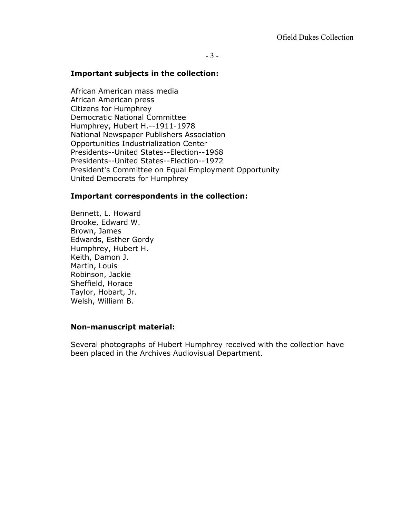## **Important subjects in the collection:**

African American mass media African American press Citizens for Humphrey Democratic National Committee Humphrey, Hubert H.--1911-1978 National Newspaper Publishers Association Opportunities Industrialization Center Presidents--United States--Election--1968 Presidents--United States--Election--1972 President's Committee on Equal Employment Opportunity United Democrats for Humphrey

## **Important correspondents in the collection:**

Bennett, L. Howard Brooke, Edward W. Brown, James Edwards, Esther Gordy Humphrey, Hubert H. Keith, Damon J. Martin, Louis Robinson, Jackie Sheffield, Horace Taylor, Hobart, Jr. Welsh, William B.

#### **Non-manuscript material:**

Several photographs of Hubert Humphrey received with the collection have been placed in the Archives Audiovisual Department.